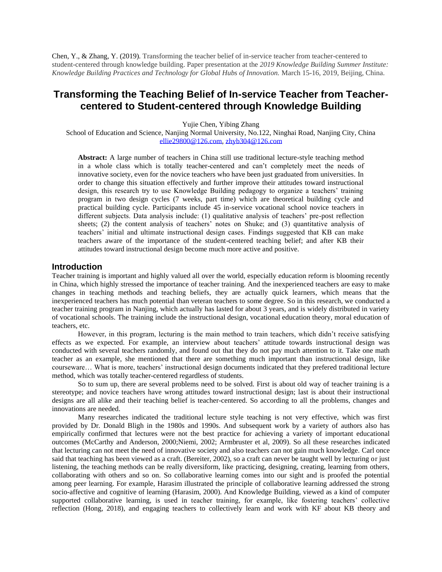Chen, Y., & Zhang, Y. (2019). Transforming the teacher belief of in-service teacher from teacher-centered to student-centered through knowledge building. Paper presentation at the *2019 Knowledge Building Summer Institute: Knowledge Building Practices and Technology for Global Hubs of Innovation.* March 15-16, 2019, Beijing, China.

# **Transforming the Teaching Belief of In-service Teacher from Teachercentered to Student-centered through Knowledge Building**

Yujie Chen, Yibing Zhang

School of Education and Science, Nanjing Normal University, No.122, Ninghai Road, Nanjing City, China [ellie29800@126.com,](mailto:ellie29800@126.com) [zhyb304@126.com](mailto:zhyb304@126.com)

**Abstract:** A large number of teachers in China still use traditional lecture-style teaching method in a whole class which is totally teacher-centered and can't completely meet the needs of innovative society, even for the novice teachers who have been just graduated from universities. In order to change this situation effectively and further improve their attitudes toward instructional design, this research try to use Knowledge Building pedagogy to organize a teachers' training program in two design cycles (7 weeks, part time) which are theoretical building cycle and practical building cycle. Participants include 45 in-service vocational school novice teachers in different subjects. Data analysis include: (1) qualitative analysis of teachers' pre-post reflection sheets; (2) the content analysis of teachers' notes on Shuke; and (3) quantitative analysis of teachers' initial and ultimate instructional design cases. Findings suggested that KB can make teachers aware of the importance of the student-centered teaching belief; and after KB their attitudes toward instructional design become much more active and positive.

## **Introduction**

Teacher training is important and highly valued all over the world, especially education reform is blooming recently in China, which highly stressed the importance of teacher training. And the inexperienced teachers are easy to make changes in teaching methods and teaching beliefs, they are actually quick learners, which means that the inexperienced teachers has much potential than veteran teachers to some degree. So in this research, we conducted a teacher training program in Nanjing, which actually has lasted for about 3 years, and is widely distributed in variety of vocational schools. The training include the instructional design, vocational education theory, moral education of teachers, etc.

However, in this program, lecturing is the main method to train teachers, which didn't receive satisfying effects as we expected. For example, an interview about teachers' attitude towards instructional design was conducted with several teachers randomly, and found out that they do not pay much attention to it. Take one math teacher as an example, she mentioned that there are something much important than instructional design, like courseware… What is more, teachers' instructional design documents indicated that they prefered traditional lecture method, which was totally teacher-centered regardless of students.

So to sum up, there are several problems need to be solved. First is about old way of teacher training is a stereotype; and novice teachers have wrong attitudes toward instructional design; last is about their instructional designs are all alike and their teaching belief is teacher-centered. So according to all the problems, changes and innovations are needed.

Many researches indicated the traditional lecture style teaching is not very effective, which was first provided by Dr. Donald Bligh in the 1980s and 1990s. And subsequent work by a variety of authors also has empirically confirmed that lectures were not the best practice for achieving a variety of important educational outcomes (McCarthy and Anderson, 2000;Niemi, 2002; Armbruster et al, 2009). So all these researches indicated that lecturing can not meet the need of innovative society and also teachers can not gain much knowledge. Carl once said that teaching has been viewed as a craft. (Bereiter, 2002), so a craft can never be taught well by lecturing or just listening, the teaching methods can be really diversiform, like practicing, designing, creating, learning from others, collaborating with others and so on. So collaborative learning comes into our sight and is proofed the potential among peer learning. For example, Harasim illustrated the principle of collaborative learning addressed the strong socio-affective and cognitive of learning (Harasim, 2000). And Knowledge Building, viewed as a kind of computer supported collaborative learning, is used in teacher training, for example, like fostering teachers' collective reflection (Hong, 2018), and engaging teachers to collectively learn and work with KF about KB theory and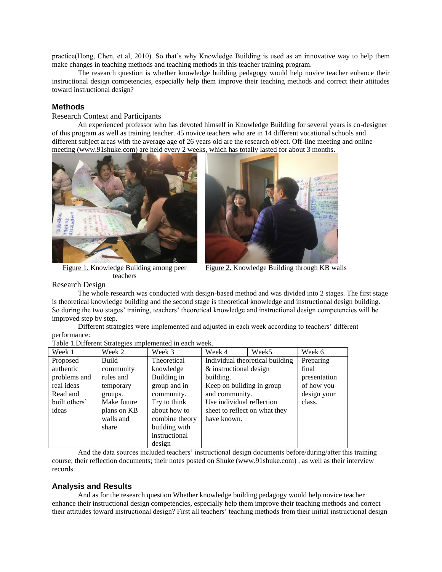practice(Hong, Chen, et al, 2010). So that's why Knowledge Building is used as an innovative way to help them make changes in teaching methods and teaching methods in this teacher training program.

The research question is whether knowledge building pedagogy would help novice teacher enhance their instructional design competencies, especially help them improve their teaching methods and correct their attitudes toward instructional design?

# **Methods**

Research Context and Participants

An experienced professor who has devoted himself in Knowledge Building for several years is co-designer of this program as well as training teacher. 45 novice teachers who are in 14 different vocational schools and different subject areas with the average age of 26 years old are the research object. Off-line meeting and online meeting (www.91shuke.com) are held every 2 weeks, which has totally lasted for about 3 months.





Figure 1. Knowledge Building among peer teachers

Figure 2. Knowledge Building through KB walls

Research Design

The whole research was conducted with design-based method and was divided into 2 stages. The first stage is theoretical knowledge building and the second stage is theoretical knowledge and instructional design building. So during the two stages' training, teachers' theoretical knowledge and instructional design competencies will be improved step by step.

Different strategies were implemented and adjusted in each week according to teachers' different performance:

| Table 1. Different Strategies implemented in each week. |  |  |
|---------------------------------------------------------|--|--|
|                                                         |  |  |

| Week 1        | Week 2      | Week 3         | Week 4                          | Week <sub>5</sub> | Week 6       |
|---------------|-------------|----------------|---------------------------------|-------------------|--------------|
| Proposed      | Build       | Theoretical    | Individual theoretical building |                   | Preparing    |
| authentic     | community   | knowledge      | & instructional design          |                   | final        |
| problems and  | rules and   | Building in    | building.                       |                   | presentation |
| real ideas    | temporary   | group and in   | Keep on building in group       |                   | of how you   |
| Read and      | groups.     | community.     | and community.                  |                   | design your  |
| built others' | Make future | Try to think   | Use individual reflection       |                   | class.       |
| ideas         | plans on KB | about how to   | sheet to reflect on what they   |                   |              |
|               | walls and   | combine theory | have known.                     |                   |              |
|               | share       | building with  |                                 |                   |              |
|               |             | instructional  |                                 |                   |              |
|               |             | design         |                                 |                   |              |

And the data sources included teachers' instructional design documents before/during/after this training course; their reflection documents; their notes posted on Shuke (www.91shuke.com) , as well as their interview records.

#### **Analysis and Results**

And as for the research question Whether knowledge building pedagogy would help novice teacher enhance their instructional design competencies, especially help them improve their teaching methods and correct their attitudes toward instructional design? First all teachers' teaching methods from their initial instructional design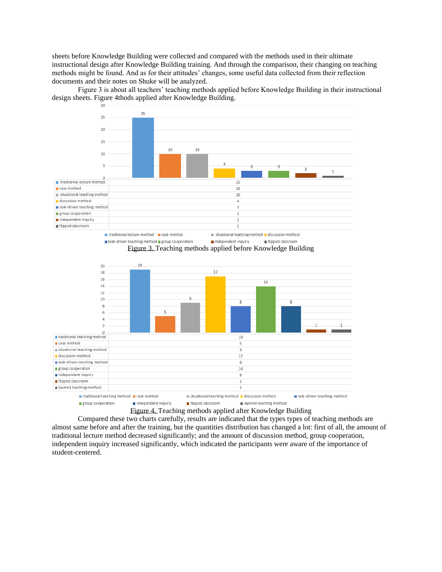sheets before Knowledge Building were collected and compared with the methods used in their ultimate instructional design after Knowledge Building training. And through the comparison, their changing on teaching methods might be found. And as for their attitudes' changes, some useful data collected from their reflection documents and their notes on Shuke will be analyzed.

Figure 3 is about all teachers' teaching methods applied before Knowledge Building in their instructional design sheets. Figure 4thods applied after Knowledge Building. 30



Figure 4. Teaching methods applied after Knowledge Building

Compared these two charts carefully, results are indicated that the types types of teaching methods are almost same before and after the training, but the quantities distribution has changed a lot: first of all, the amount of traditional lecture method decreased significantly; and the amount of discussion method, group cooperation, independent inquiry increased significantly, which indicated the participants were aware of the importance of student-centered.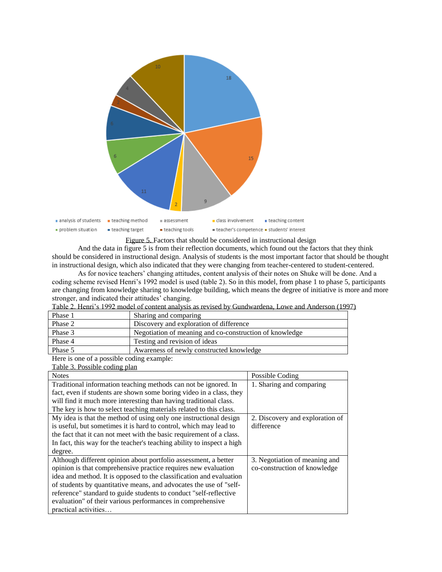

Figure 5. Factors that should be considered in instructional design

And the data in figure 5 is from their reflection documents, which found out the factors that they think should be considered in instructional design. Analysis of students is the most important factor that should be thought in instructional design, which also indicated that they were changing from teacher-centered to student-centered.

As for novice teachers' changing attitudes, content analysis of their notes on Shuke will be done. And a coding scheme revised Henri's 1992 model is used (table 2). So in this model, from phase 1 to phase 5, participants are changing from knowledge sharing to knowledge building, which means the degree of initiative is more and more stronger, and indicated their attitudes' changing.

| Phase 1 | Sharing and comparing                                   |
|---------|---------------------------------------------------------|
| Phase 2 | Discovery and exploration of difference                 |
| Phase 3 | Negotiation of meaning and co-construction of knowledge |
| Phase 4 | Testing and revision of ideas                           |
| Phase 5 | Awareness of newly constructed knowledge                |

Table 2. Henri's 1992 model of content analysis as revised by Gundwardena, Lowe and Anderson (1997)

Here is one of a possible coding example:

| Table 3. Possible coding plan                                          |                                 |  |
|------------------------------------------------------------------------|---------------------------------|--|
| <b>Notes</b>                                                           | Possible Coding                 |  |
| Traditional information teaching methods can not be ignored. In        | 1. Sharing and comparing        |  |
| fact, even if students are shown some boring video in a class, they    |                                 |  |
| will find it much more interesting than having traditional class.      |                                 |  |
| The key is how to select teaching materials related to this class.     |                                 |  |
| My idea is that the method of using only one instructional design      | 2. Discovery and exploration of |  |
| is useful, but sometimes it is hard to control, which may lead to      | difference                      |  |
| the fact that it can not meet with the basic requirement of a class.   |                                 |  |
| In fact, this way for the teacher's teaching ability to inspect a high |                                 |  |
| degree.                                                                |                                 |  |
| Although different opinion about portfolio assessment, a better        | 3. Negotiation of meaning and   |  |
| opinion is that comprehensive practice requires new evaluation         | co-construction of knowledge    |  |
| idea and method. It is opposed to the classification and evaluation    |                                 |  |
| of students by quantitative means, and advocates the use of "self-     |                                 |  |
| reference" standard to guide students to conduct "self-reflective      |                                 |  |
| evaluation" of their various performances in comprehensive             |                                 |  |
| practical activities                                                   |                                 |  |